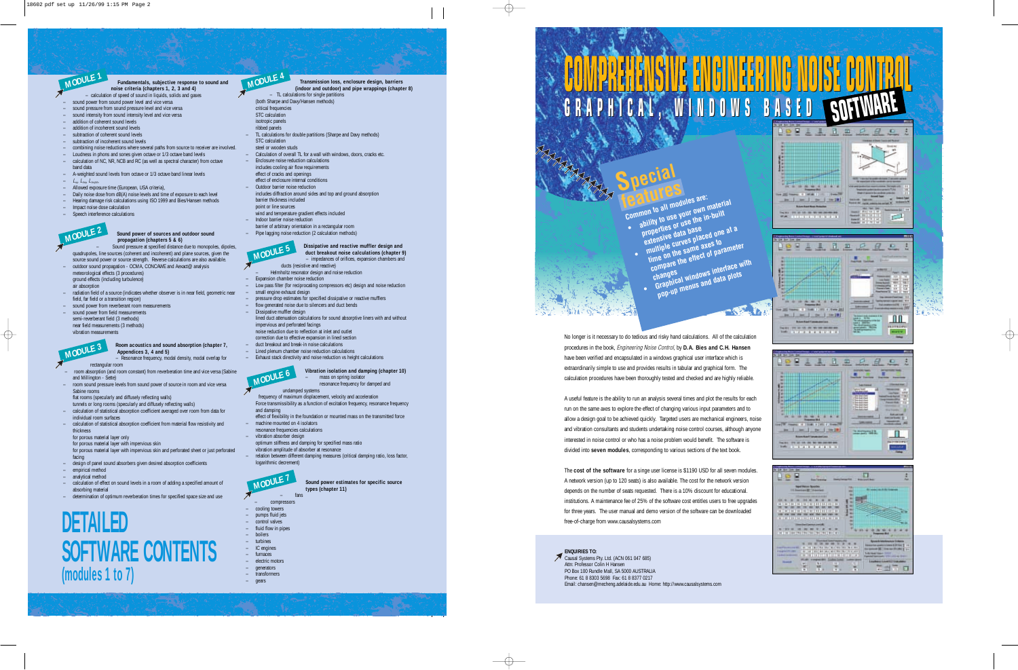# **COMPREHENSIVE ENGINEERING NOISE CONTROL COMPREHENSIVE ENGINEERING NOISE CONTROL GRAPHICAL, WINDOWS BASED GRAPHICAL, WINDOWS BASED SOFTWARE**

 $\sim$   $\sqrt{2}$  ,  $\sqrt{2}$  ,  $\sqrt{2}$ 

# **MARIANA Special features**

**Common to all modules are:**<br>Common to all modules are: **• ability to use your own material properties or use the in-built**

- **extensive data base • multiple curves placed one at a time on the same axes to**
	- **compare the effect of parameter changes • Graphical windows interface with pop-up menus and data plots**

No longer is it necessary to do tedious and risky hand calculations. All of the calculation procedures in the book, *Engineering Noise Control*, by **D.A. Bies and C.H. Hansen** have been verified and encapsulated in a windows graphical user interface which is extraordinarily simple to use and provides results in tabular and graphical form. The calculation procedures have been thoroughly tested and checked and are highly reliable.

A useful feature is the ability to run an analysis several times and plot the results for each run on the same axes to explore the effect of changing various input parameters and to allow a design goal to be achieved quickly. Targeted users are mechanical engineers, noise and vibration consultants and students undertaking noise control courses, although anyone interested in noise control or who has a noise problem would benefit. The software is divided into **seven modules**, corresponding to various sections of the text book.

The **cost of the software** for a singe user license is \$1190 USD for all seven modules. A network version (up to 120 seats) is also available. The cost for the network version depends on the number of seats requested. There is a 10% discount for educational. institutions. A maintenance fee of 25% of the software cost entitles users to free upgrades for three years. The user manual and demo version of the software can be downloaded free-of-charge from www.causalsystems.com

**ENQUIRIES TO:** Causal Systems Pty. Ltd. (ACN 061 047 685) Attn: Professor Colin H Hansen PO Box 100 Rundle Mall, SA 5000 AUSTRALIA Phone: 61 8 8303 5698 Fax: 61 8 8377 0217 Email: chansen@mecheng.adelaide.edu.au Home: http://www.causalsystems.com



# **+++++++** . . . . . . . . . .

ΠT